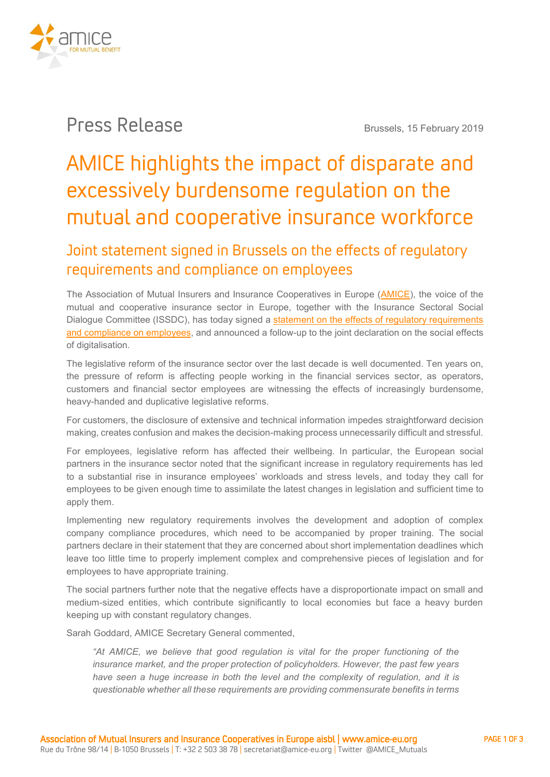

## Press Release **Brussels, 15 February <sup>2019</sup>**

# AMICE highlights the impact of disparate and excessively burdensome regulation on the mutual and cooperative insurance workforce

### Joint statement signed in Brussels on the effects of regulatory requirements and compliance on employees

**The Association of Mutual Insurers and Insurance Cooperatives in Europe [\(AMICE\)](http://www.amice-eu.org/), the voice of the mutual and cooperative insurance sector in Europe, together with the Insurance Sectoral Social Dialogue Committee (ISSDC), has today signed a statement [on the effects of regulatory requirements](https://www.amice-eu.org/userfiles/file/2019-02-15_SSDC_Insurance_declaration_regulation_final.pdf)  [and compliance on employees,](https://www.amice-eu.org/userfiles/file/2019-02-15_SSDC_Insurance_declaration_regulation_final.pdf) and announced a follow-up to the joint declaration on the social effects of digitalisation.**

**The legislative reform of the insurance sector over the last decade is well documented. Ten years on, the pressure of reform is affecting people working in the financial services sector, as operators, customers and financial sector employees are witnessing the effects of increasingly burdensome, heavy-handed and duplicative legislative reforms.**

**For customers, the disclosure of extensive and technical information impedes straightforward decision making, creates confusion and makes the decision-making process unnecessarily difficult and stressful.**

**For employees, legislative reform has affected their wellbeing. In particular, the European social partners in the insurance sector noted that the significant increase in regulatory requirements has led to a substantial rise in insurance employees' workloads and stress levels, and today they call for employees to be given enough time to assimilate the latest changes in legislation and sufficient time to apply them.**

**Implementing new regulatory requirements involves the development and adoption of complex company compliance procedures, which need to be accompanied by proper training. The social partners declare in their statement that they are concerned about short implementation deadlines which leave too little time to properly implement complex and comprehensive pieces of legislation and for employees to have appropriate training.**

**The social partners further note that the negative effects have a disproportionate impact on small and medium-sized entities, which contribute significantly to local economies but face a heavy burden keeping up with constant regulatory changes.**

**Sarah Goddard, AMICE Secretary General commented,** 

*"At AMICE, we believe that good regulation is vital for the proper functioning of the insurance market, and the proper protection of policyholders. However, the past few years have seen a huge increase in both the level and the complexity of regulation, and it is questionable whether all these requirements are providing commensurate benefits in terms*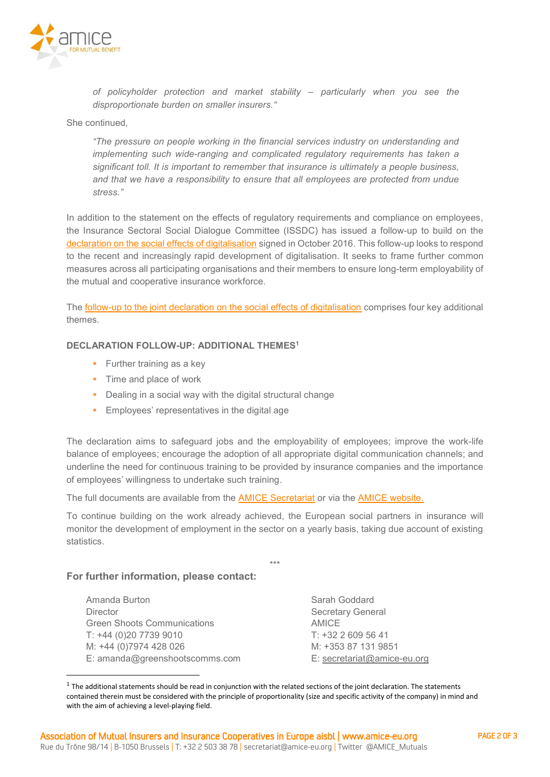

*of policyholder protection and market stability – particularly when you see the disproportionate burden on smaller insurers."*

#### **She continued,**

*"The pressure on people working in the financial services industry on understanding and implementing such wide-ranging and complicated regulatory requirements has taken a significant toll. It is important to remember that insurance is ultimately a people business, and that we have a responsibility to ensure that all employees are protected from undue stress."*

**In addition to the statement on the effects of regulatory requirements and compliance on employees, the Insurance Sectoral Social Dialogue Committee (ISSDC) has issued a follow-up to build on the [declaration on the social effects of digitalisation](https://www.amice-eu.org/userfiles/file/ISSDC_Joint_declaration_social_effects_digitalisation_2016-10-12_en.pdf) signed in October 2016. This follow-up looks to respond to the recent and increasingly rapid development of digitalisation. It seeks to frame further common measures across all participating organisations and their members to ensure long-term employability of the mutual and cooperative insurance workforce.**

**The [follow-up to the joint declaration on the social effects of digitalisation](https://www.amice-eu.org/userfiles/file/2019-02-15_SSDC_Insurance_follow-up_declaration_digitalisation_final.pdf) comprises four key additional themes.**

#### **DECLARATION FOLLOW-UP: ADDITIONAL THEMES<sup>1</sup>**

- **Further training as a key**
- **Time and place of work**
- **Dealing in a social way with the digital structural change**
- **Employees' representatives in the digital age**

**The declaration aims to safeguard jobs and the employability of employees; improve the work-life balance of employees; encourage the adoption of all appropriate digital communication channels; and underline the need for continuous training to be provided by insurance companies and the importance of employees' willingness to undertake such training.**

**The full documents are available from the [AMICE Secretariat](mailto:secretariat@amice-eu.org) or via the [AMICE website.](https://www.amice-eu.org/Social_Dialogue.aspx)**

**To continue building on the work already achieved, the European social partners in insurance will monitor the development of employment in the sector on a yearly basis, taking due account of existing statistics.**

**\*\*\***

#### **For further information, please contact:**

1

| Amanda Burton                      | Sarah Goddard               |
|------------------------------------|-----------------------------|
| <b>Director</b>                    | <b>Secretary General</b>    |
| <b>Green Shoots Communications</b> | AMICE                       |
| T: +44 (0)20 7739 9010             | $T: +3226095641$            |
| M: +44 (0)7974 428 026             | M: +353 87 131 9851         |
| E: amanda@greenshootscomms.com     | E: secretariat@amice-eu.org |

 $1$  The additional statements should be read in conjunction with the related sections of the joint declaration. The statements contained therein must be considered with the principle of proportionality (size and specific activity of the company) in mind and with the aim of achieving a level-playing field.